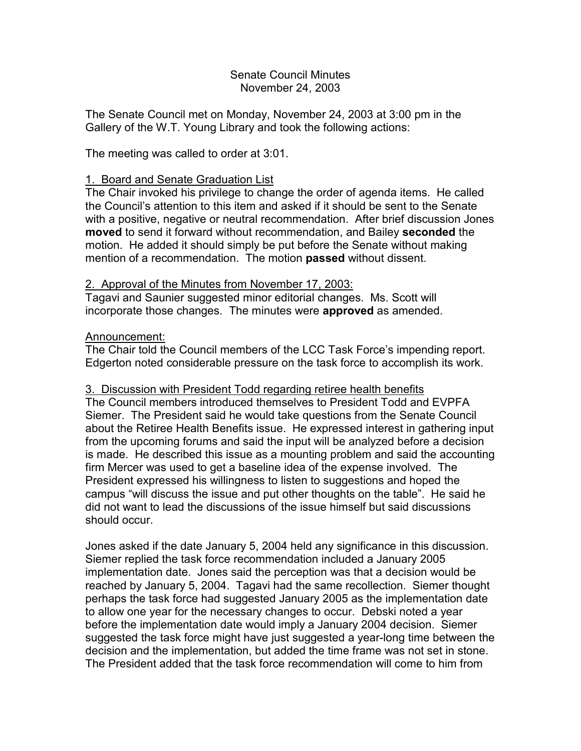#### Senate Council Minutes November 24, 2003

The Senate Council met on Monday, November 24, 2003 at 3:00 pm in the Gallery of the W.T. Young Library and took the following actions:

The meeting was called to order at 3:01.

## 1. Board and Senate Graduation List

The Chair invoked his privilege to change the order of agenda items. He called the Council's attention to this item and asked if it should be sent to the Senate with a positive, negative or neutral recommendation. After brief discussion Jones **moved** to send it forward without recommendation, and Bailey **seconded** the motion. He added it should simply be put before the Senate without making mention of a recommendation. The motion **passed** without dissent.

# 2. Approval of the Minutes from November 17, 2003:

Tagavi and Saunier suggested minor editorial changes. Ms. Scott will incorporate those changes. The minutes were **approved** as amended.

### Announcement:

The Chair told the Council members of the LCC Task Force's impending report. Edgerton noted considerable pressure on the task force to accomplish its work.

### 3. Discussion with President Todd regarding retiree health benefits

The Council members introduced themselves to President Todd and EVPFA Siemer. The President said he would take questions from the Senate Council about the Retiree Health Benefits issue. He expressed interest in gathering input from the upcoming forums and said the input will be analyzed before a decision is made. He described this issue as a mounting problem and said the accounting firm Mercer was used to get a baseline idea of the expense involved. The President expressed his willingness to listen to suggestions and hoped the campus "will discuss the issue and put other thoughts on the table". He said he did not want to lead the discussions of the issue himself but said discussions should occur.

Jones asked if the date January 5, 2004 held any significance in this discussion. Siemer replied the task force recommendation included a January 2005 implementation date. Jones said the perception was that a decision would be reached by January 5, 2004. Tagavi had the same recollection. Siemer thought perhaps the task force had suggested January 2005 as the implementation date to allow one year for the necessary changes to occur. Debski noted a year before the implementation date would imply a January 2004 decision. Siemer suggested the task force might have just suggested a year-long time between the decision and the implementation, but added the time frame was not set in stone. The President added that the task force recommendation will come to him from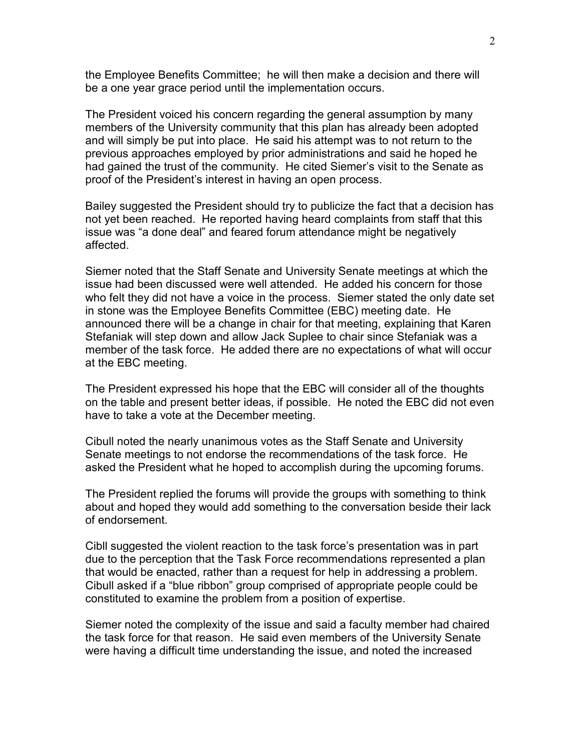the Employee Benefits Committee; he will then make a decision and there will be a one year grace period until the implementation occurs.

The President voiced his concern regarding the general assumption by many members of the University community that this plan has already been adopted and will simply be put into place. He said his attempt was to not return to the previous approaches employed by prior administrations and said he hoped he had gained the trust of the community. He cited Siemer's visit to the Senate as proof of the President's interest in having an open process.

Bailey suggested the President should try to publicize the fact that a decision has not yet been reached. He reported having heard complaints from staff that this issue was "a done deal" and feared forum attendance might be negatively affected.

Siemer noted that the Staff Senate and University Senate meetings at which the issue had been discussed were well attended. He added his concern for those who felt they did not have a voice in the process. Siemer stated the only date set in stone was the Employee Benefits Committee (EBC) meeting date. He announced there will be a change in chair for that meeting, explaining that Karen Stefaniak will step down and allow Jack Suplee to chair since Stefaniak was a member of the task force. He added there are no expectations of what will occur at the EBC meeting.

The President expressed his hope that the EBC will consider all of the thoughts on the table and present better ideas, if possible. He noted the EBC did not even have to take a vote at the December meeting.

Cibull noted the nearly unanimous votes as the Staff Senate and University Senate meetings to not endorse the recommendations of the task force. He asked the President what he hoped to accomplish during the upcoming forums.

The President replied the forums will provide the groups with something to think about and hoped they would add something to the conversation beside their lack of endorsement.

Cibll suggested the violent reaction to the task force's presentation was in part due to the perception that the Task Force recommendations represented a plan that would be enacted, rather than a request for help in addressing a problem. Cibull asked if a "blue ribbon" group comprised of appropriate people could be constituted to examine the problem from a position of expertise.

Siemer noted the complexity of the issue and said a faculty member had chaired the task force for that reason. He said even members of the University Senate were having a difficult time understanding the issue, and noted the increased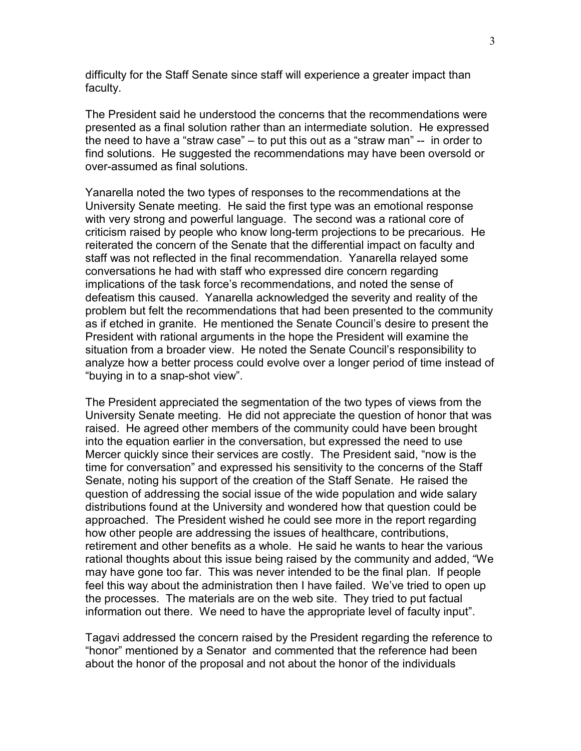difficulty for the Staff Senate since staff will experience a greater impact than faculty.

The President said he understood the concerns that the recommendations were presented as a final solution rather than an intermediate solution. He expressed the need to have a "straw case" – to put this out as a "straw man" -- in order to find solutions. He suggested the recommendations may have been oversold or over-assumed as final solutions.

Yanarella noted the two types of responses to the recommendations at the University Senate meeting. He said the first type was an emotional response with very strong and powerful language. The second was a rational core of criticism raised by people who know long-term projections to be precarious. He reiterated the concern of the Senate that the differential impact on faculty and staff was not reflected in the final recommendation. Yanarella relayed some conversations he had with staff who expressed dire concern regarding implications of the task force's recommendations, and noted the sense of defeatism this caused. Yanarella acknowledged the severity and reality of the problem but felt the recommendations that had been presented to the community as if etched in granite. He mentioned the Senate Council's desire to present the President with rational arguments in the hope the President will examine the situation from a broader view. He noted the Senate Council's responsibility to analyze how a better process could evolve over a longer period of time instead of "buying in to a snap-shot view".

The President appreciated the segmentation of the two types of views from the University Senate meeting. He did not appreciate the question of honor that was raised. He agreed other members of the community could have been brought into the equation earlier in the conversation, but expressed the need to use Mercer quickly since their services are costly. The President said, "now is the time for conversation" and expressed his sensitivity to the concerns of the Staff Senate, noting his support of the creation of the Staff Senate. He raised the question of addressing the social issue of the wide population and wide salary distributions found at the University and wondered how that question could be approached. The President wished he could see more in the report regarding how other people are addressing the issues of healthcare, contributions, retirement and other benefits as a whole. He said he wants to hear the various rational thoughts about this issue being raised by the community and added, "We may have gone too far. This was never intended to be the final plan. If people feel this way about the administration then I have failed. We've tried to open up the processes. The materials are on the web site. They tried to put factual information out there. We need to have the appropriate level of faculty input".

Tagavi addressed the concern raised by the President regarding the reference to "honor" mentioned by a Senator and commented that the reference had been about the honor of the proposal and not about the honor of the individuals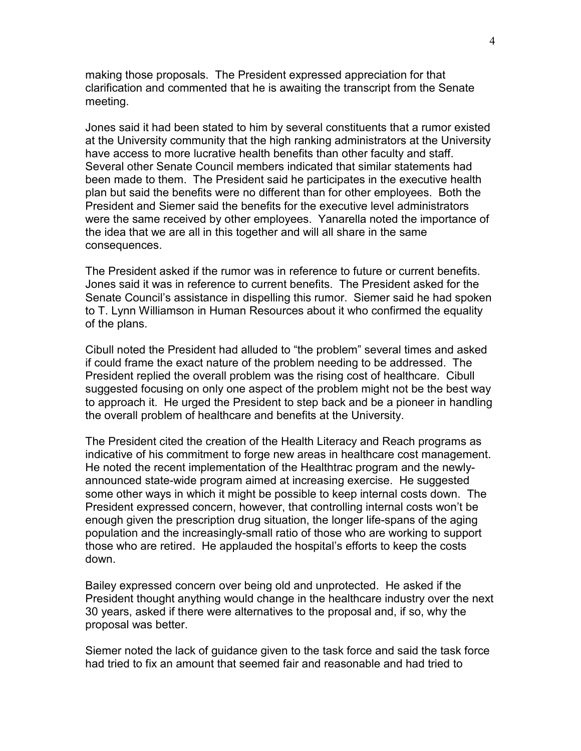making those proposals. The President expressed appreciation for that clarification and commented that he is awaiting the transcript from the Senate meeting.

Jones said it had been stated to him by several constituents that a rumor existed at the University community that the high ranking administrators at the University have access to more lucrative health benefits than other faculty and staff. Several other Senate Council members indicated that similar statements had been made to them. The President said he participates in the executive health plan but said the benefits were no different than for other employees. Both the President and Siemer said the benefits for the executive level administrators were the same received by other employees. Yanarella noted the importance of the idea that we are all in this together and will all share in the same consequences.

The President asked if the rumor was in reference to future or current benefits. Jones said it was in reference to current benefits. The President asked for the Senate Council's assistance in dispelling this rumor. Siemer said he had spoken to T. Lynn Williamson in Human Resources about it who confirmed the equality of the plans.

Cibull noted the President had alluded to "the problem" several times and asked if could frame the exact nature of the problem needing to be addressed. The President replied the overall problem was the rising cost of healthcare. Cibull suggested focusing on only one aspect of the problem might not be the best way to approach it. He urged the President to step back and be a pioneer in handling the overall problem of healthcare and benefits at the University.

The President cited the creation of the Health Literacy and Reach programs as indicative of his commitment to forge new areas in healthcare cost management. He noted the recent implementation of the Healthtrac program and the newlyannounced state-wide program aimed at increasing exercise. He suggested some other ways in which it might be possible to keep internal costs down. The President expressed concern, however, that controlling internal costs won't be enough given the prescription drug situation, the longer life-spans of the aging population and the increasingly-small ratio of those who are working to support those who are retired. He applauded the hospital's efforts to keep the costs down.

Bailey expressed concern over being old and unprotected. He asked if the President thought anything would change in the healthcare industry over the next 30 years, asked if there were alternatives to the proposal and, if so, why the proposal was better.

Siemer noted the lack of guidance given to the task force and said the task force had tried to fix an amount that seemed fair and reasonable and had tried to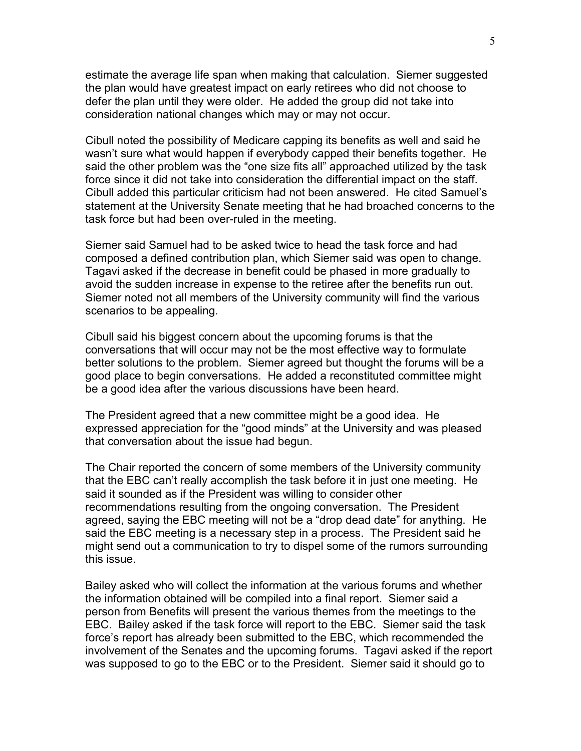estimate the average life span when making that calculation. Siemer suggested the plan would have greatest impact on early retirees who did not choose to defer the plan until they were older. He added the group did not take into consideration national changes which may or may not occur.

Cibull noted the possibility of Medicare capping its benefits as well and said he wasn't sure what would happen if everybody capped their benefits together. He said the other problem was the "one size fits all" approached utilized by the task force since it did not take into consideration the differential impact on the staff. Cibull added this particular criticism had not been answered. He cited Samuel's statement at the University Senate meeting that he had broached concerns to the task force but had been over-ruled in the meeting.

Siemer said Samuel had to be asked twice to head the task force and had composed a defined contribution plan, which Siemer said was open to change. Tagavi asked if the decrease in benefit could be phased in more gradually to avoid the sudden increase in expense to the retiree after the benefits run out. Siemer noted not all members of the University community will find the various scenarios to be appealing.

Cibull said his biggest concern about the upcoming forums is that the conversations that will occur may not be the most effective way to formulate better solutions to the problem. Siemer agreed but thought the forums will be a good place to begin conversations. He added a reconstituted committee might be a good idea after the various discussions have been heard.

The President agreed that a new committee might be a good idea. He expressed appreciation for the "good minds" at the University and was pleased that conversation about the issue had begun.

The Chair reported the concern of some members of the University community that the EBC can't really accomplish the task before it in just one meeting. He said it sounded as if the President was willing to consider other recommendations resulting from the ongoing conversation. The President agreed, saying the EBC meeting will not be a "drop dead date" for anything. He said the EBC meeting is a necessary step in a process. The President said he might send out a communication to try to dispel some of the rumors surrounding this issue.

Bailey asked who will collect the information at the various forums and whether the information obtained will be compiled into a final report. Siemer said a person from Benefits will present the various themes from the meetings to the EBC. Bailey asked if the task force will report to the EBC. Siemer said the task force's report has already been submitted to the EBC, which recommended the involvement of the Senates and the upcoming forums. Tagavi asked if the report was supposed to go to the EBC or to the President. Siemer said it should go to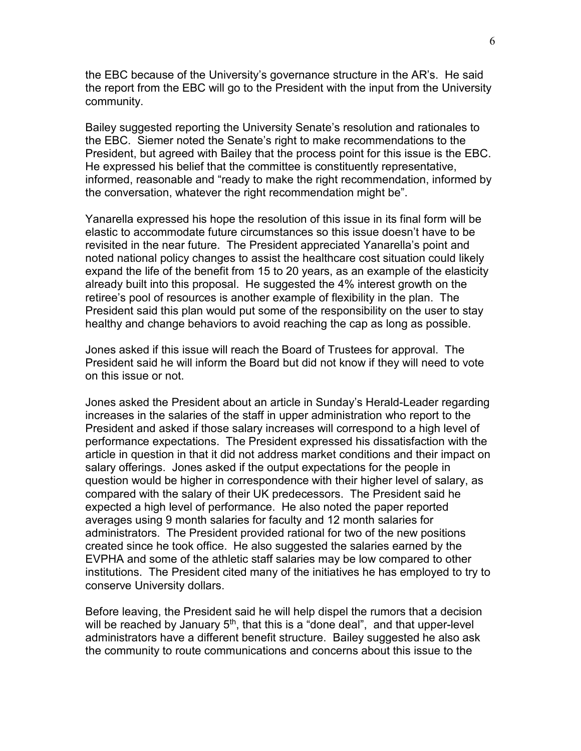the EBC because of the University's governance structure in the AR's. He said the report from the EBC will go to the President with the input from the University community.

Bailey suggested reporting the University Senate's resolution and rationales to the EBC. Siemer noted the Senate's right to make recommendations to the President, but agreed with Bailey that the process point for this issue is the EBC. He expressed his belief that the committee is constituently representative, informed, reasonable and "ready to make the right recommendation, informed by the conversation, whatever the right recommendation might be".

Yanarella expressed his hope the resolution of this issue in its final form will be elastic to accommodate future circumstances so this issue doesn't have to be revisited in the near future. The President appreciated Yanarella's point and noted national policy changes to assist the healthcare cost situation could likely expand the life of the benefit from 15 to 20 years, as an example of the elasticity already built into this proposal. He suggested the 4% interest growth on the retiree's pool of resources is another example of flexibility in the plan. The President said this plan would put some of the responsibility on the user to stay healthy and change behaviors to avoid reaching the cap as long as possible.

Jones asked if this issue will reach the Board of Trustees for approval. The President said he will inform the Board but did not know if they will need to vote on this issue or not.

Jones asked the President about an article in Sunday's Herald-Leader regarding increases in the salaries of the staff in upper administration who report to the President and asked if those salary increases will correspond to a high level of performance expectations. The President expressed his dissatisfaction with the article in question in that it did not address market conditions and their impact on salary offerings. Jones asked if the output expectations for the people in question would be higher in correspondence with their higher level of salary, as compared with the salary of their UK predecessors. The President said he expected a high level of performance. He also noted the paper reported averages using 9 month salaries for faculty and 12 month salaries for administrators. The President provided rational for two of the new positions created since he took office. He also suggested the salaries earned by the EVPHA and some of the athletic staff salaries may be low compared to other institutions. The President cited many of the initiatives he has employed to try to conserve University dollars.

Before leaving, the President said he will help dispel the rumors that a decision will be reached by January  $5<sup>th</sup>$ , that this is a "done deal", and that upper-level administrators have a different benefit structure. Bailey suggested he also ask the community to route communications and concerns about this issue to the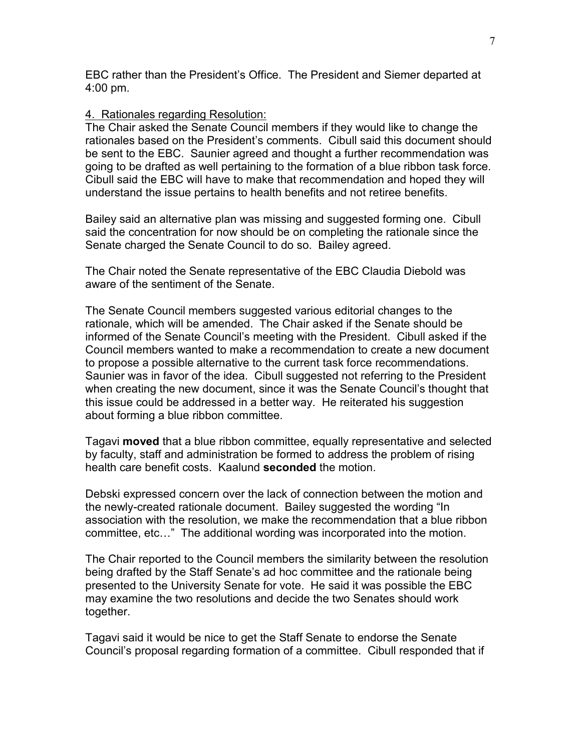EBC rather than the President's Office. The President and Siemer departed at 4:00 pm.

#### 4. Rationales regarding Resolution:

The Chair asked the Senate Council members if they would like to change the rationales based on the President's comments. Cibull said this document should be sent to the EBC. Saunier agreed and thought a further recommendation was going to be drafted as well pertaining to the formation of a blue ribbon task force. Cibull said the EBC will have to make that recommendation and hoped they will understand the issue pertains to health benefits and not retiree benefits.

Bailey said an alternative plan was missing and suggested forming one. Cibull said the concentration for now should be on completing the rationale since the Senate charged the Senate Council to do so. Bailey agreed.

The Chair noted the Senate representative of the EBC Claudia Diebold was aware of the sentiment of the Senate.

The Senate Council members suggested various editorial changes to the rationale, which will be amended. The Chair asked if the Senate should be informed of the Senate Council's meeting with the President. Cibull asked if the Council members wanted to make a recommendation to create a new document to propose a possible alternative to the current task force recommendations. Saunier was in favor of the idea. Cibull suggested not referring to the President when creating the new document, since it was the Senate Council's thought that this issue could be addressed in a better way. He reiterated his suggestion about forming a blue ribbon committee.

Tagavi **moved** that a blue ribbon committee, equally representative and selected by faculty, staff and administration be formed to address the problem of rising health care benefit costs. Kaalund **seconded** the motion.

Debski expressed concern over the lack of connection between the motion and the newly-created rationale document. Bailey suggested the wording "In association with the resolution, we make the recommendation that a blue ribbon committee, etc…" The additional wording was incorporated into the motion.

The Chair reported to the Council members the similarity between the resolution being drafted by the Staff Senate's ad hoc committee and the rationale being presented to the University Senate for vote. He said it was possible the EBC may examine the two resolutions and decide the two Senates should work together.

Tagavi said it would be nice to get the Staff Senate to endorse the Senate Council's proposal regarding formation of a committee. Cibull responded that if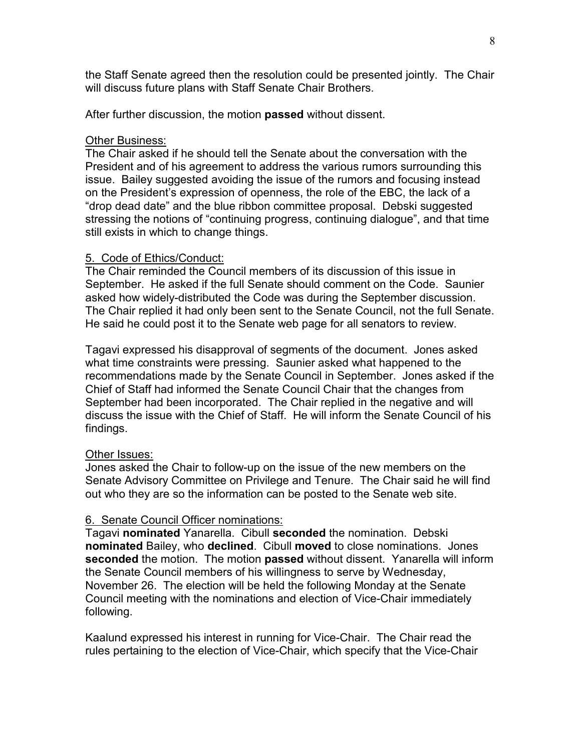the Staff Senate agreed then the resolution could be presented jointly. The Chair will discuss future plans with Staff Senate Chair Brothers.

After further discussion, the motion **passed** without dissent.

### **Other Business:**

The Chair asked if he should tell the Senate about the conversation with the President and of his agreement to address the various rumors surrounding this issue. Bailey suggested avoiding the issue of the rumors and focusing instead on the President's expression of openness, the role of the EBC, the lack of a "drop dead date" and the blue ribbon committee proposal. Debski suggested stressing the notions of "continuing progress, continuing dialogue", and that time still exists in which to change things.

### 5. Code of Ethics/Conduct:

The Chair reminded the Council members of its discussion of this issue in September. He asked if the full Senate should comment on the Code. Saunier asked how widely-distributed the Code was during the September discussion. The Chair replied it had only been sent to the Senate Council, not the full Senate. He said he could post it to the Senate web page for all senators to review.

Tagavi expressed his disapproval of segments of the document. Jones asked what time constraints were pressing. Saunier asked what happened to the recommendations made by the Senate Council in September. Jones asked if the Chief of Staff had informed the Senate Council Chair that the changes from September had been incorporated. The Chair replied in the negative and will discuss the issue with the Chief of Staff. He will inform the Senate Council of his findings.

### Other Issues:

Jones asked the Chair to follow-up on the issue of the new members on the Senate Advisory Committee on Privilege and Tenure. The Chair said he will find out who they are so the information can be posted to the Senate web site.

### 6. Senate Council Officer nominations:

Tagavi **nominated** Yanarella. Cibull **seconded** the nomination. Debski **nominated** Bailey, who **declined**. Cibull **moved** to close nominations. Jones **seconded** the motion. The motion **passed** without dissent. Yanarella will inform the Senate Council members of his willingness to serve by Wednesday, November 26. The election will be held the following Monday at the Senate Council meeting with the nominations and election of Vice-Chair immediately following.

Kaalund expressed his interest in running for Vice-Chair. The Chair read the rules pertaining to the election of Vice-Chair, which specify that the Vice-Chair